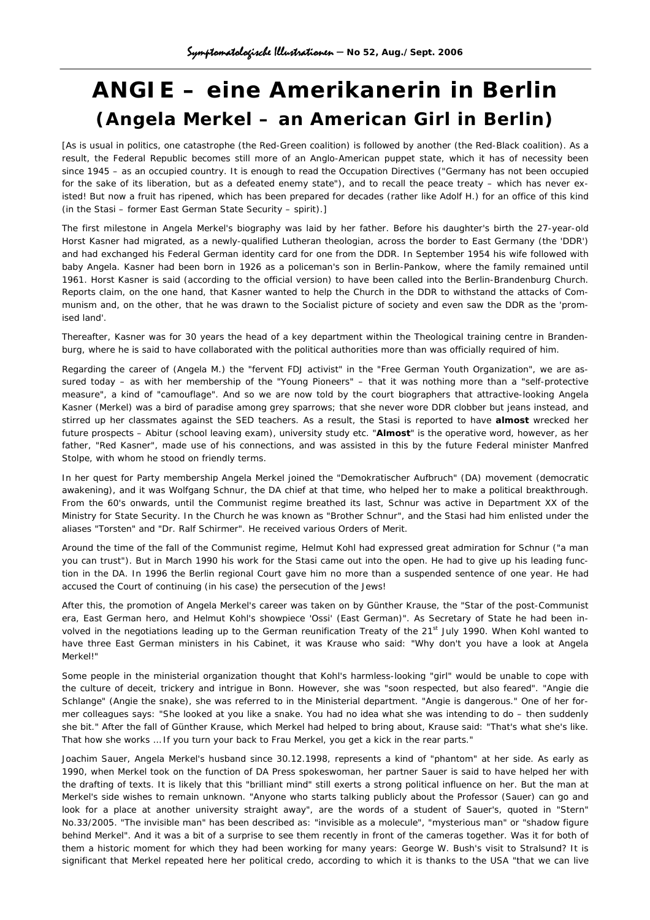## **ANGIE – eine Amerikanerin in Berlin (Angela Merkel – an American Girl in Berlin)**

[As is usual in politics, one catastrophe (the Red-Green coalition) is followed by another (the Red-Black coalition). As a result, the Federal Republic becomes still more of an Anglo-American puppet state, which it has of necessity been since 1945 – as an occupied country. It is enough to read the Occupation Directives ("Germany has not been occupied for the sake of its liberation, but as a defeated enemy state"), and to recall the peace treaty – which has never existed! But now a fruit has ripened, which has been prepared for decades (rather like Adolf H.) for an office of this kind (in the Stasi – former East German State Security – spirit).]

The first milestone in Angela Merkel's biography was laid by her father. Before his daughter's birth the 27-year-old Horst Kasner had migrated, as a newly-qualified Lutheran theologian, across the border to East Germany (the 'DDR') and had exchanged his Federal German identity card for one from the DDR. In September 1954 his wife followed with baby Angela. Kasner had been born in 1926 as a policeman's son in Berlin-Pankow, where the family remained until 1961. Horst Kasner is said (according to the official version) to have been called into the Berlin-Brandenburg Church. Reports claim, on the one hand, that Kasner wanted to help the Church in the DDR to withstand the attacks of Communism and, on the other, that he was drawn to the Socialist picture of society and even saw the DDR as the 'promised land'.

Thereafter, Kasner was for 30 years the head of a key department within the Theological training centre in Brandenburg, where he is said to have collaborated with the political authorities more than was officially required of him.

Regarding the career of (Angela M.) the "fervent FDJ activist" in the "Free German Youth Organization", we are assured today – as with her membership of the "Young Pioneers" – that it was nothing more than a "self-protective measure", a kind of "camouflage". And so we are now told by the court biographers that attractive-looking Angela Kasner (Merkel) was a bird of paradise among grey sparrows; that she never wore DDR clobber but jeans instead, and stirred up her classmates against the SED teachers. As a result, the Stasi is reported to have **almost** wrecked her future prospects – Abitur (school leaving exam), university study etc. "**Almost**" is the operative word, however, as her father, "Red Kasner", made use of his connections, and was assisted in this by the future Federal minister Manfred Stolpe, with whom he stood on friendly terms.

In her quest for Party membership Angela Merkel joined the "Demokratischer Aufbruch" (DA) movement (democratic awakening), and it was Wolfgang Schnur, the DA chief at that time, who helped her to make a political breakthrough. From the 60's onwards, until the Communist regime breathed its last, Schnur was active in Department XX of the Ministry for State Security. In the Church he was known as "Brother Schnur", and the Stasi had him enlisted under the aliases "Torsten" and "Dr. Ralf Schirmer". He received various Orders of Merit.

Around the time of the fall of the Communist regime, Helmut Kohl had expressed great admiration for Schnur ("a man you can trust"). But in March 1990 his work for the Stasi came out into the open. He had to give up his leading function in the DA. In 1996 the Berlin regional Court gave him no more than a suspended sentence of one year. He had accused the Court of continuing (in his case) the persecution of the Jews!

After this, the promotion of Angela Merkel's career was taken on by Günther Krause, the "Star of the post-Communist era, East German hero, and Helmut Kohl's showpiece 'Ossi' (East German)". As Secretary of State he had been involved in the negotiations leading up to the German reunification Treaty of the 21<sup>st</sup> July 1990. When Kohl wanted to have three East German ministers in his Cabinet, it was Krause who said: "Why don't you have a look at Angela Merkel!"

Some people in the ministerial organization thought that Kohl's harmless-looking "girl" would be unable to cope with the culture of deceit, trickery and intrigue in Bonn. However, she was "soon respected, but also feared". "Angie die Schlange" (Angie the snake), she was referred to in the Ministerial department. "Angie is dangerous." One of her former colleagues says: "She looked at you like a snake. You had no idea what she was intending to do – then suddenly she bit." After the fall of Günther Krause, which Merkel had helped to bring about, Krause said: "That's what she's like. That how she works … If you turn your back to Frau Merkel, you get a kick in the rear parts."

Joachim Sauer, Angela Merkel's husband since 30.12.1998, represents a kind of "phantom" at her side. As early as 1990, when Merkel took on the function of DA Press spokeswoman, her partner Sauer is said to have helped her with the drafting of texts. It is likely that this "brilliant mind" still exerts a strong political influence on her. But the man at Merkel's side wishes to remain unknown. "Anyone who starts talking publicly about the Professor (Sauer) can go and look for a place at another university straight away", are the words of a student of Sauer's, quoted in "Stern" No.33/2005. "The invisible man" has been described as: "invisible as a molecule", "mysterious man" or "shadow figure behind Merkel". And it was a bit of a surprise to see them recently in front of the cameras together. Was it for both of them a historic moment for which they had been working for many years: George W. Bush's visit to Stralsund? It is significant that Merkel repeated here her political credo, according to which it is thanks to the USA "that we can live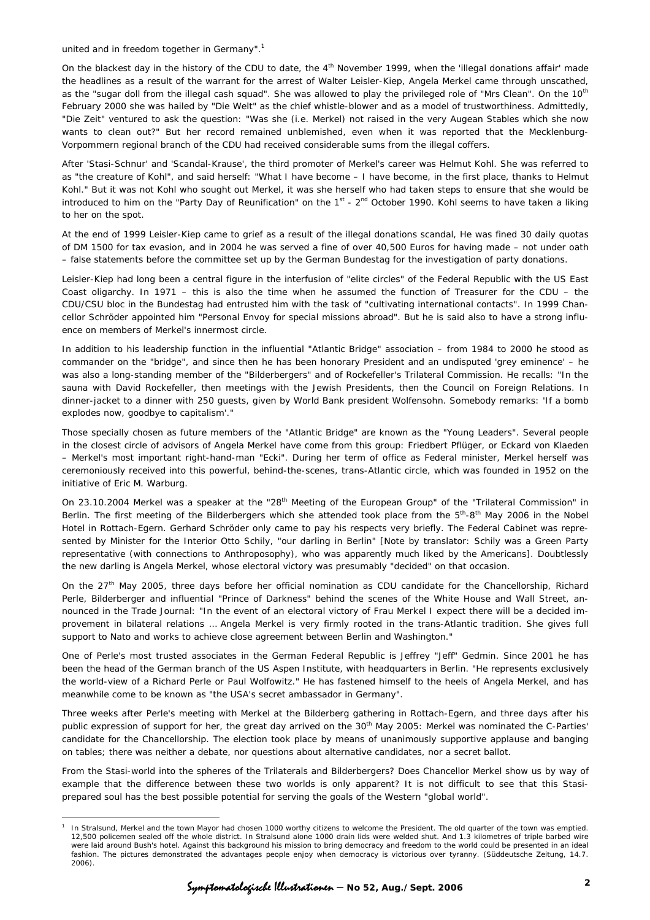united and in freedom together in Germany".<sup>[1](#page-1-0)</sup>

 $\overline{a}$ 

On the blackest day in the history of the CDU to date, the  $4<sup>th</sup>$  November 1999, when the 'illegal donations affair' made the headlines as a result of the warrant for the arrest of Walter Leisler-Kiep, Angela Merkel came through unscathed, as the "sugar doll from the illegal cash squad". She was allowed to play the privileged role of "Mrs Clean". On the 10<sup>th</sup> February 2000 she was hailed by "Die Welt" as the chief whistle-blower and as a model of trustworthiness. Admittedly, "Die Zeit" ventured to ask the question: "Was she (i.e. Merkel) not raised in the very Augean Stables which she now wants to clean out?" But her record remained unblemished, even when it was reported that the Mecklenburg-Vorpommern regional branch of the CDU had received considerable sums from the illegal coffers.

After 'Stasi-Schnur' and 'Scandal-Krause', the third promoter of Merkel's career was Helmut Kohl. She was referred to as "the creature of Kohl", and said herself: "What I have become – I have become, in the first place, thanks to Helmut Kohl." But it was not Kohl who sought out Merkel, it was she herself who had taken steps to ensure that she would be introduced to him on the "Party Day of Reunification" on the  $1^{st}$  -  $2^{nd}$  October 1990. Kohl seems to have taken a liking to her on the spot.

At the end of 1999 Leisler-Kiep came to grief as a result of the illegal donations scandal, He was fined 30 daily quotas of DM 1500 for tax evasion, and in 2004 he was served a fine of over 40,500 Euros for having made – not under oath – false statements before the committee set up by the German Bundestag for the investigation of party donations.

Leisler-Kiep had long been a central figure in the interfusion of "elite circles" of the Federal Republic with the US East Coast oligarchy. In 1971 – this is also the time when he assumed the function of Treasurer for the CDU – the CDU/CSU bloc in the Bundestag had entrusted him with the task of "cultivating international contacts". In 1999 Chancellor Schröder appointed him "Personal Envoy for special missions abroad". But he is said also to have a strong influence on members of Merkel's innermost circle.

In addition to his leadership function in the influential "Atlantic Bridge" association – from 1984 to 2000 he stood as commander on the "bridge", and since then he has been honorary President and an undisputed 'grey eminence' – he was also a long-standing member of the "Bilderbergers" and of Rockefeller's Trilateral Commission. He recalls: "In the sauna with David Rockefeller, then meetings with the Jewish Presidents, then the Council on Foreign Relations. In dinner-jacket to a dinner with 250 guests, given by World Bank president Wolfensohn. Somebody remarks: 'If a bomb explodes now, goodbye to capitalism'."

Those specially chosen as future members of the "Atlantic Bridge" are known as the "Young Leaders". Several people in the closest circle of advisors of Angela Merkel have come from this group: Friedbert Pflüger, or Eckard von Klaeden – Merkel's most important right-hand-man "Ecki". During her term of office as Federal minister, Merkel herself was ceremoniously received into this powerful, behind-the-scenes, trans-Atlantic circle, which was founded in 1952 on the initiative of Eric M. Warburg.

On 23.10.2004 Merkel was a speaker at the "28<sup>th</sup> Meeting of the European Group" of the "Trilateral Commission" in Berlin. The first meeting of the Bilderbergers which she attended took place from the 5<sup>th</sup>-8<sup>th</sup> May 2006 in the Nobel Hotel in Rottach-Egern. Gerhard Schröder only came to pay his respects very briefly. The Federal Cabinet was represented by Minister for the Interior Otto Schily, "our darling in Berlin" [Note by translator: Schily was a Green Party representative (with connections to Anthroposophy), who was apparently much liked by the Americans]. Doubtlessly the new darling is Angela Merkel, whose electoral victory was presumably "decided" on that occasion.

On the  $27<sup>th</sup>$  May 2005, three days before her official nomination as CDU candidate for the Chancellorship, Richard Perle, Bilderberger and influential "Prince of Darkness" behind the scenes of the White House and Wall Street, announced in the Trade Journal: "In the event of an electoral victory of Frau Merkel I expect there will be a decided improvement in bilateral relations … Angela Merkel is very firmly rooted in the trans-Atlantic tradition. She gives full support to Nato and works to achieve close agreement between Berlin and Washington."

One of Perle's most trusted associates in the German Federal Republic is Jeffrey "Jeff" Gedmin. Since 2001 he has been the head of the German branch of the US Aspen Institute, with headquarters in Berlin. "He represents exclusively the world-view of a Richard Perle or Paul Wolfowitz." He has fastened himself to the heels of Angela Merkel, and has meanwhile come to be known as "the USA's secret ambassador in Germany".

Three weeks after Perle's meeting with Merkel at the Bilderberg gathering in Rottach-Egern, and three days after his public expression of support for her, the great day arrived on the 30<sup>th</sup> May 2005: Merkel was nominated the C-Parties' candidate for the Chancellorship. The election took place by means of unanimously supportive applause and banging on tables; there was neither a debate, nor questions about alternative candidates, nor a secret ballot.

From the Stasi-world into the spheres of the Trilaterals and Bilderbergers? Does Chancellor Merkel show us by way of example that the difference between these two worlds is only apparent? It is not difficult to see that this Stasiprepared soul has the best possible potential for serving the goals of the Western "global world".

Symptomatologische Illustrationen **– No 52, Aug./Sept. 2006 <sup>2</sup>**

<span id="page-1-0"></span>In Stralsund, Merkel and the town Mayor had chosen 1000 worthy citizens to welcome the President. The old quarter of the town was emptied. 12,500 policemen sealed off the whole district. In Stralsund alone 1000 drain lids were welded shut. And 1.3 kilometres of triple barbed wire were laid around Bush's hotel. Against this background his mission to bring democracy and freedom to the world could be presented in an ideal fashion. The pictures demonstrated the advantages people enjoy when democracy is victorious over tyranny. (*Süddeutsche Zeitung*, 14.7. 2006).